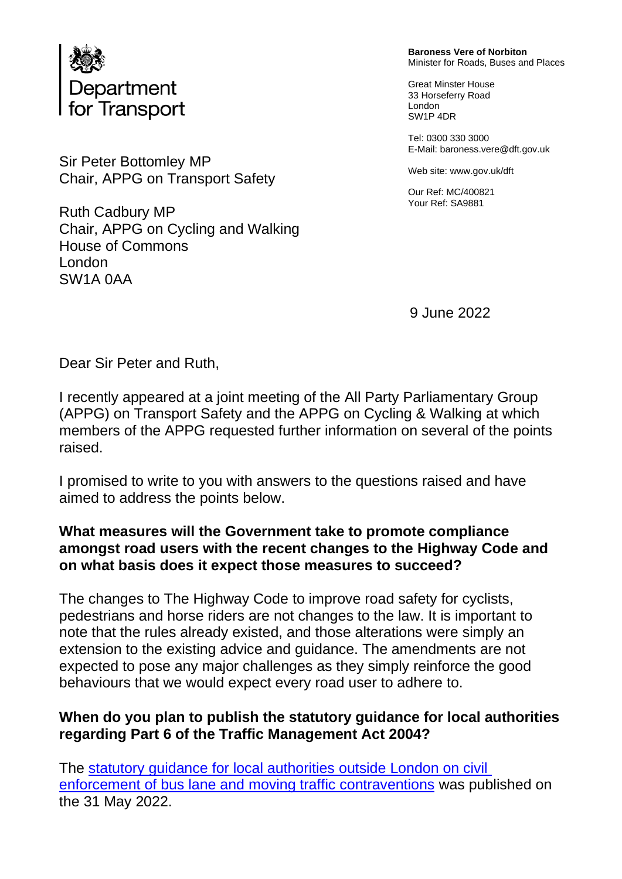

Sir Peter Bottomley MP Chair, APPG on Transport Safety

Ruth Cadbury MP Chair, APPG on Cycling and Walking House of Commons London SW1A 0AA

**Baroness Vere of Norbiton** Minister for Roads, Buses and Places

Great Minster House 33 Horseferry Road London SW1P 4DR

Tel: 0300 330 3000 E-Mail: baroness.vere@dft.gov.uk

Web site[: www.gov.](http://www.gov/)uk/dft

Our Ref: MC/400821 Your Ref: SA9881

9 June 2022

Dear Sir Peter and Ruth,

I recently appeared at a joint meeting of the All Party Parliamentary Group (APPG) on Transport Safety and the APPG on Cycling & Walking at which members of the APPG requested further information on several of the points raised.

I promised to write to you with answers to the questions raised and have aimed to address the points below.

### **What measures will the Government take to promote compliance amongst road users with the recent changes to the Highway Code and on what basis does it expect those measures to succeed?**

The changes to The Highway Code to improve road safety for cyclists, pedestrians and horse riders are not changes to the law. It is important to note that the rules already existed, and those alterations were simply an extension to the existing advice and guidance. The amendments are not expected to pose any major challenges as they simply reinforce the good behaviours that we would expect every road user to adhere to.

### **When do you plan to publish the statutory guidance for local authorities regarding Part 6 of the Traffic Management Act 2004?**

The [statutory guidance for local authorities outside London on civil](https://www.gov.uk/government/publications/bus-lane-and-moving-traffic-enforcement-outside-london/traffic-management-act-2004-statutory-guidance-for-local-authorities-outside-london-on-civil-enforcement-of-bus-lane-and-moving-traffic-contravention)  [enforcement of bus lane and moving traffic contraventions](https://www.gov.uk/government/publications/bus-lane-and-moving-traffic-enforcement-outside-london/traffic-management-act-2004-statutory-guidance-for-local-authorities-outside-london-on-civil-enforcement-of-bus-lane-and-moving-traffic-contravention) was published on the 31 May 2022.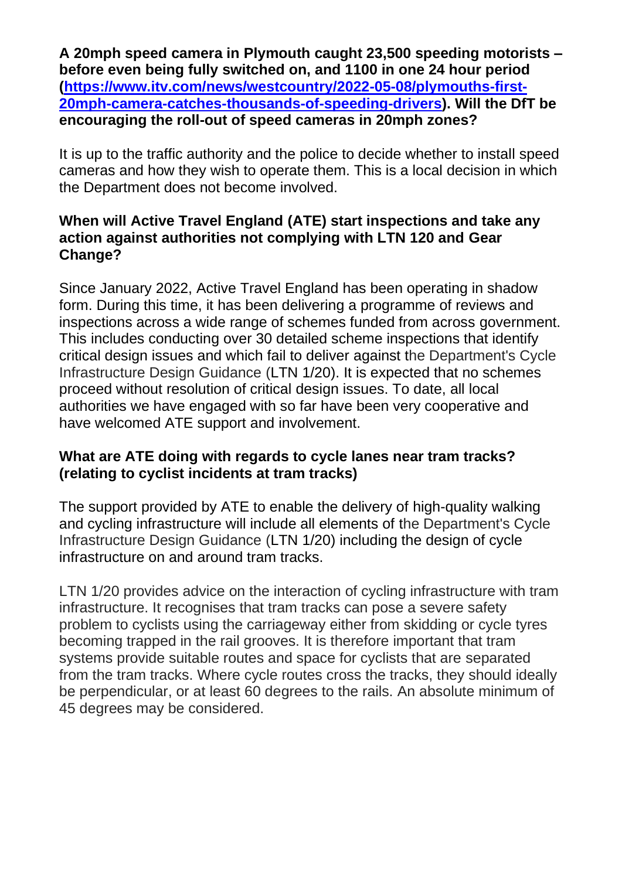**A 20mph speed camera in Plymouth caught 23,500 speeding motorists – before even being fully switched on, and 1100 in one 24 hour period [\(https://www.itv.com/news/westcountry/2022-05-08/plymouths-first-](https://www.itv.com/news/westcountry/2022-05-08/plymouths-first-20mph-camera-catches-thousands-of-speeding-drivers)[20mph-camera-catches-thousands-of-speeding-drivers\)](https://www.itv.com/news/westcountry/2022-05-08/plymouths-first-20mph-camera-catches-thousands-of-speeding-drivers). Will the DfT be encouraging the roll-out of speed cameras in 20mph zones?**

It is up to the traffic authority and the police to decide whether to install speed cameras and how they wish to operate them. This is a local decision in which the Department does not become involved.

# **When will Active Travel England (ATE) start inspections and take any action against authorities not complying with LTN 120 and Gear Change?**

Since January 2022, Active Travel England has been operating in shadow form. During this time, it has been delivering a programme of reviews and inspections across a wide range of schemes funded from across government. This includes conducting over 30 detailed scheme inspections that identify critical design issues and which fail to deliver against the Department's Cycle Infrastructure Design Guidance (LTN 1/20). It is expected that no schemes proceed without resolution of critical design issues. To date, all local authorities we have engaged with so far have been very cooperative and have welcomed ATE support and involvement.

## **What are ATE doing with regards to cycle lanes near tram tracks? (relating to cyclist incidents at tram tracks)**

The support provided by ATE to enable the delivery of high-quality walking and cycling infrastructure will include all elements of the Department's Cycle Infrastructure Design Guidance (LTN 1/20) including the design of cycle infrastructure on and around tram tracks.

LTN 1/20 provides advice on the interaction of cycling infrastructure with tram infrastructure. It recognises that tram tracks can pose a severe safety problem to cyclists using the carriageway either from skidding or cycle tyres becoming trapped in the rail grooves. It is therefore important that tram systems provide suitable routes and space for cyclists that are separated from the tram tracks. Where cycle routes cross the tracks, they should ideally be perpendicular, or at least 60 degrees to the rails. An absolute minimum of 45 degrees may be considered.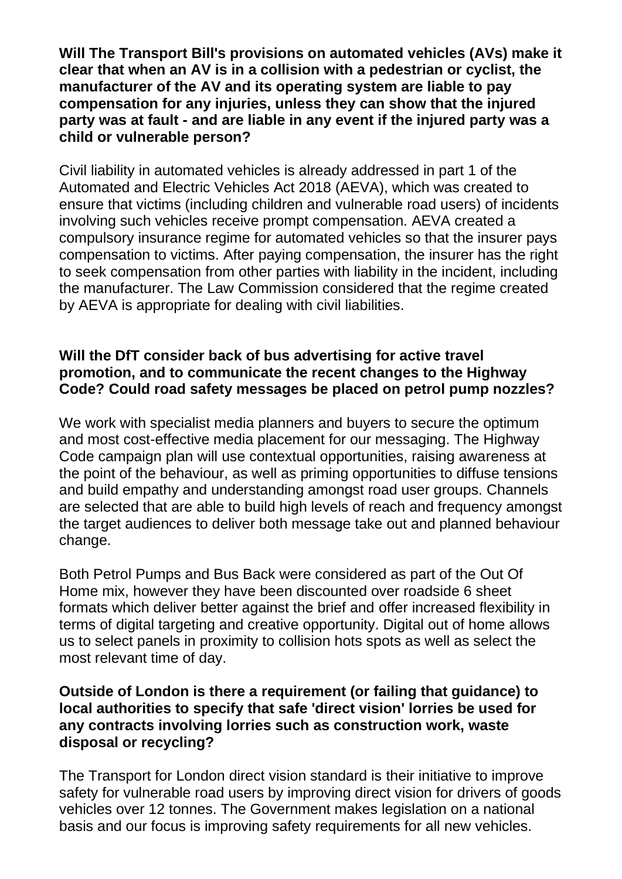**Will The Transport Bill's provisions on automated vehicles (AVs) make it clear that when an AV is in a collision with a pedestrian or cyclist, the manufacturer of the AV and its operating system are liable to pay compensation for any injuries, unless they can show that the injured party was at fault - and are liable in any event if the injured party was a child or vulnerable person?**

Civil liability in automated vehicles is already addressed in part 1 of the Automated and Electric Vehicles Act 2018 (AEVA), which was created to ensure that victims (including children and vulnerable road users) of incidents involving such vehicles receive prompt compensation. AEVA created a compulsory insurance regime for automated vehicles so that the insurer pays compensation to victims. After paying compensation, the insurer has the right to seek compensation from other parties with liability in the incident, including the manufacturer. The Law Commission considered that the regime created by AEVA is appropriate for dealing with civil liabilities.

## **Will the DfT consider back of bus advertising for active travel promotion, and to communicate the recent changes to the Highway Code? Could road safety messages be placed on petrol pump nozzles?**

We work with specialist media planners and buyers to secure the optimum and most cost-effective media placement for our messaging. The Highway Code campaign plan will use contextual opportunities, raising awareness at the point of the behaviour, as well as priming opportunities to diffuse tensions and build empathy and understanding amongst road user groups. Channels are selected that are able to build high levels of reach and frequency amongst the target audiences to deliver both message take out and planned behaviour change.

Both Petrol Pumps and Bus Back were considered as part of the Out Of Home mix, however they have been discounted over roadside 6 sheet formats which deliver better against the brief and offer increased flexibility in terms of digital targeting and creative opportunity. Digital out of home allows us to select panels in proximity to collision hots spots as well as select the most relevant time of day.

### **Outside of London is there a requirement (or failing that guidance) to local authorities to specify that safe 'direct vision' lorries be used for any contracts involving lorries such as construction work, waste disposal or recycling?**

The Transport for London direct vision standard is their initiative to improve safety for vulnerable road users by improving direct vision for drivers of goods vehicles over 12 tonnes. The Government makes legislation on a national basis and our focus is improving safety requirements for all new vehicles.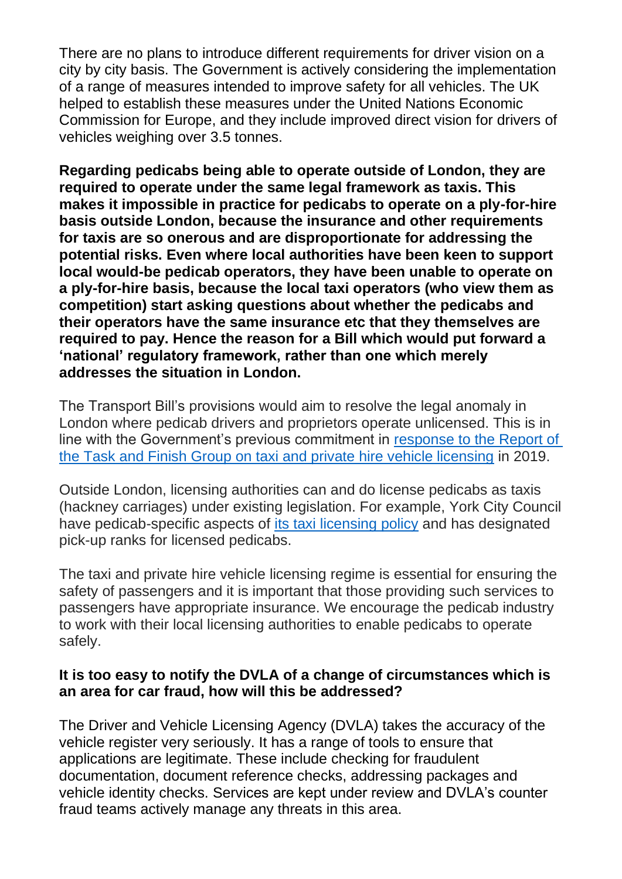There are no plans to introduce different requirements for driver vision on a city by city basis. The Government is actively considering the implementation of a range of measures intended to improve safety for all vehicles. The UK helped to establish these measures under the United Nations Economic Commission for Europe, and they include improved direct vision for drivers of vehicles weighing over 3.5 tonnes.

**Regarding pedicabs being able to operate outside of London, they are required to operate under the same legal framework as taxis. This makes it impossible in practice for pedicabs to operate on a ply-for-hire basis outside London, because the insurance and other requirements for taxis are so onerous and are disproportionate for addressing the potential risks. Even where local authorities have been keen to support local would-be pedicab operators, they have been unable to operate on a ply-for-hire basis, because the local taxi operators (who view them as competition) start asking questions about whether the pedicabs and their operators have the same insurance etc that they themselves are required to pay. Hence the reason for a Bill which would put forward a 'national' regulatory framework, rather than one which merely addresses the situation in London.**

The Transport Bill's provisions would aim to resolve the legal anomaly in London where pedicab drivers and proprietors operate unlicensed. This is in line with the Government's previous commitment in [response to the Report of](https://eur02.safelinks.protection.outlook.com/?url=https%3A%2F%2Fwww.gov.uk%2Fgovernment%2Fpublications%2Ftaxi-and-private-hire-vehicle-licensing-government-response-to-independent-report&data=05%7C01%7CMatt.Bigault%40dft.gov.uk%7C445661c9ab264bf4783808da493f5606%7C28b782fb41e148eabfc3ad7558ce7136%7C0%7C0%7C637902833611469234%7CUnknown%7CTWFpbGZsb3d8eyJWIjoiMC4wLjAwMDAiLCJQIjoiV2luMzIiLCJBTiI6Ik1haWwiLCJXVCI6Mn0%3D%7C3000%7C%7C%7C&sdata=7Q%2FJeEgu9UdGi6q5gZ9Mik186CuT%2BCnaCKy8O7tS6vM%3D&reserved=0)  [the Task and Finish Group on taxi and private hire vehicle licensing](https://eur02.safelinks.protection.outlook.com/?url=https%3A%2F%2Fwww.gov.uk%2Fgovernment%2Fpublications%2Ftaxi-and-private-hire-vehicle-licensing-government-response-to-independent-report&data=05%7C01%7CMatt.Bigault%40dft.gov.uk%7C445661c9ab264bf4783808da493f5606%7C28b782fb41e148eabfc3ad7558ce7136%7C0%7C0%7C637902833611469234%7CUnknown%7CTWFpbGZsb3d8eyJWIjoiMC4wLjAwMDAiLCJQIjoiV2luMzIiLCJBTiI6Ik1haWwiLCJXVCI6Mn0%3D%7C3000%7C%7C%7C&sdata=7Q%2FJeEgu9UdGi6q5gZ9Mik186CuT%2BCnaCKy8O7tS6vM%3D&reserved=0) in 2019.

Outside London, licensing authorities can and do license pedicabs as taxis (hackney carriages) under existing legislation. For example, York City Council have pedicab-specific aspects of [its taxi licensing policy](https://eur02.safelinks.protection.outlook.com/?url=https%3A%2F%2Fwww.york.gov.uk%2Fdownloads%2Ffile%2F137%2Fhackney-carriage-and-private-hire-taxi-licensing-policy&data=05%7C01%7CMatt.Bigault%40dft.gov.uk%7C445661c9ab264bf4783808da493f5606%7C28b782fb41e148eabfc3ad7558ce7136%7C0%7C0%7C637902833611469234%7CUnknown%7CTWFpbGZsb3d8eyJWIjoiMC4wLjAwMDAiLCJQIjoiV2luMzIiLCJBTiI6Ik1haWwiLCJXVCI6Mn0%3D%7C3000%7C%7C%7C&sdata=brDscgNoAhvJpyBtPXZmrk54ybryLt7Goab9%2BTMcKLc%3D&reserved=0) and has designated pick-up ranks for licensed pedicabs.

The taxi and private hire vehicle licensing regime is essential for ensuring the safety of passengers and it is important that those providing such services to passengers have appropriate insurance. We encourage the pedicab industry to work with their local licensing authorities to enable pedicabs to operate safely.

### **It is too easy to notify the DVLA of a change of circumstances which is an area for car fraud, how will this be addressed?**

The Driver and Vehicle Licensing Agency (DVLA) takes the accuracy of the vehicle register very seriously. It has a range of tools to ensure that applications are legitimate. These include checking for fraudulent documentation, document reference checks, addressing packages and vehicle identity checks. Services are kept under review and DVLA's counter fraud teams actively manage any threats in this area.